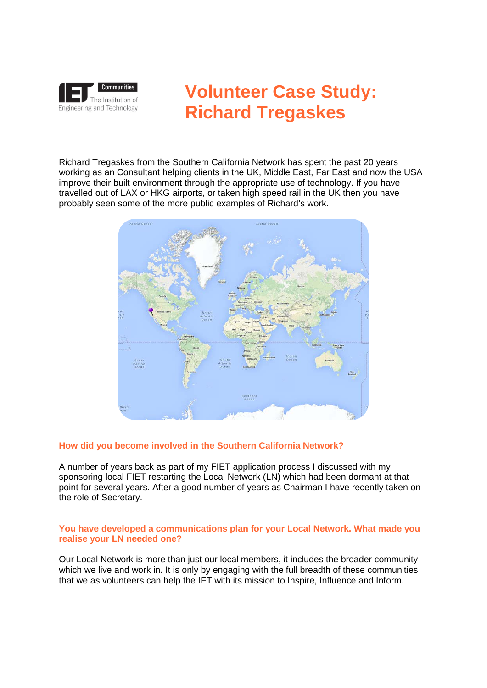

# **Volunteer Case Study: Richard Tregaskes**

Richard Tregaskes from the Southern California Network has spent the past 20 years working as an Consultant helping clients in the UK, Middle East, Far East and now the USA improve their built environment through the appropriate use of technology. If you have travelled out of LAX or HKG airports, or taken high speed rail in the UK then you have probably seen some of the more public examples of Richard's work.



## **How did you become involved in the Southern California Network?**

A number of years back as part of my FIET application process I discussed with my sponsoring local FIET restarting the Local Network (LN) which had been dormant at that point for several years. After a good number of years as Chairman I have recently taken on the role of Secretary.

#### **You have developed a communications plan for your Local Network. What made you realise your LN needed one?**

Our Local Network is more than just our local members, it includes the broader community which we live and work in. It is only by engaging with the full breadth of these communities that we as volunteers can help the IET with its mission to Inspire, Influence and Inform.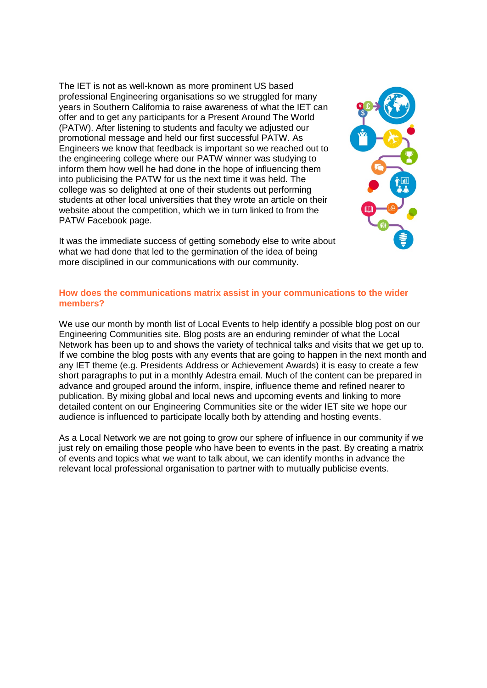The IET is not as well-known as more prominent US based professional Engineering organisations so we struggled for many years in Southern California to raise awareness of what the IET can offer and to get any participants for a Present Around The World (PATW). After listening to students and faculty we adjusted our promotional message and held our first successful PATW. As Engineers we know that feedback is important so we reached out to the engineering college where our PATW winner was studying to inform them how well he had done in the hope of influencing them into publicising the PATW for us the next time it was held. The college was so delighted at one of their students out performing students at other local universities that they wrote an article on their website about the competition, which we in turn linked to from the PATW Facebook page.



It was the immediate success of getting somebody else to write about what we had done that led to the germination of the idea of being more disciplined in our communications with our community.

#### **How does the communications matrix assist in your communications to the wider members?**

We use our month by month list of Local Events to help identify a possible blog post on our Engineering Communities site. Blog posts are an enduring reminder of what the Local Network has been up to and shows the variety of technical talks and visits that we get up to. If we combine the blog posts with any events that are going to happen in the next month and any IET theme (e.g. Presidents Address or Achievement Awards) it is easy to create a few short paragraphs to put in a monthly Adestra email. Much of the content can be prepared in advance and grouped around the inform, inspire, influence theme and refined nearer to publication. By mixing global and local news and upcoming events and linking to more detailed content on our Engineering Communities site or the wider IET site we hope our audience is influenced to participate locally both by attending and hosting events.

As a Local Network we are not going to grow our sphere of influence in our community if we just rely on emailing those people who have been to events in the past. By creating a matrix of events and topics what we want to talk about, we can identify months in advance the relevant local professional organisation to partner with to mutually publicise events.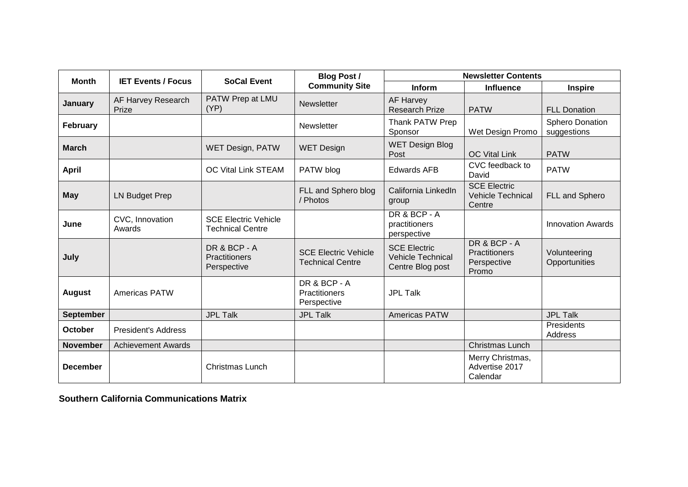| <b>Month</b>     | <b>IET Events / Focus</b>   | <b>SoCal Event</b>                                     | <b>Blog Post /</b><br><b>Community Site</b>            | <b>Newsletter Contents</b>                                          |                                                           |                                       |
|------------------|-----------------------------|--------------------------------------------------------|--------------------------------------------------------|---------------------------------------------------------------------|-----------------------------------------------------------|---------------------------------------|
|                  |                             |                                                        |                                                        | <b>Inform</b>                                                       | Influence                                                 | <b>Inspire</b>                        |
| January          | AF Harvey Research<br>Prize | PATW Prep at LMU<br>(YP)                               | <b>Newsletter</b>                                      | <b>AF Harvey</b><br><b>Research Prize</b>                           | <b>PATW</b>                                               | <b>FLL Donation</b>                   |
| February         |                             |                                                        | Newsletter                                             | Thank PATW Prep<br>Sponsor                                          | Wet Design Promo                                          | <b>Sphero Donation</b><br>suggestions |
| <b>March</b>     |                             | WET Design, PATW                                       | <b>WET Design</b>                                      | <b>WET Design Blog</b><br>Post                                      | <b>OC Vital Link</b>                                      | <b>PATW</b>                           |
| <b>April</b>     |                             | OC Vital Link STEAM                                    | PATW blog                                              | <b>Edwards AFB</b>                                                  | CVC feedback to<br>David                                  | <b>PATW</b>                           |
| <b>May</b>       | <b>LN Budget Prep</b>       |                                                        | FLL and Sphero blog<br>/ Photos                        | California LinkedIn<br>group                                        | <b>SCE Electric</b><br><b>Vehicle Technical</b><br>Centre | FLL and Sphero                        |
| June             | CVC, Innovation<br>Awards   | <b>SCE Electric Vehicle</b><br><b>Technical Centre</b> |                                                        | DR & BCP - A<br>practitioners<br>perspective                        |                                                           | <b>Innovation Awards</b>              |
| July             |                             | DR & BCP - A<br>Practitioners<br>Perspective           | <b>SCE Electric Vehicle</b><br><b>Technical Centre</b> | <b>SCE Electric</b><br><b>Vehicle Technical</b><br>Centre Blog post | DR & BCP - A<br>Practitioners<br>Perspective<br>Promo     | Volunteering<br>Opportunities         |
| <b>August</b>    | Americas PATW               |                                                        | DR & BCP - A<br>Practitioners<br>Perspective           | <b>JPL Talk</b>                                                     |                                                           |                                       |
| <b>September</b> |                             | <b>JPL Talk</b>                                        | <b>JPL Talk</b>                                        | Americas PATW                                                       |                                                           | <b>JPL Talk</b>                       |
| October          | <b>President's Address</b>  |                                                        |                                                        |                                                                     |                                                           | Presidents<br>Address                 |
| <b>November</b>  | <b>Achievement Awards</b>   |                                                        |                                                        |                                                                     | <b>Christmas Lunch</b>                                    |                                       |
| <b>December</b>  |                             | Christmas Lunch                                        |                                                        |                                                                     | Merry Christmas,<br>Advertise 2017<br>Calendar            |                                       |

**Southern California Communications Matrix**